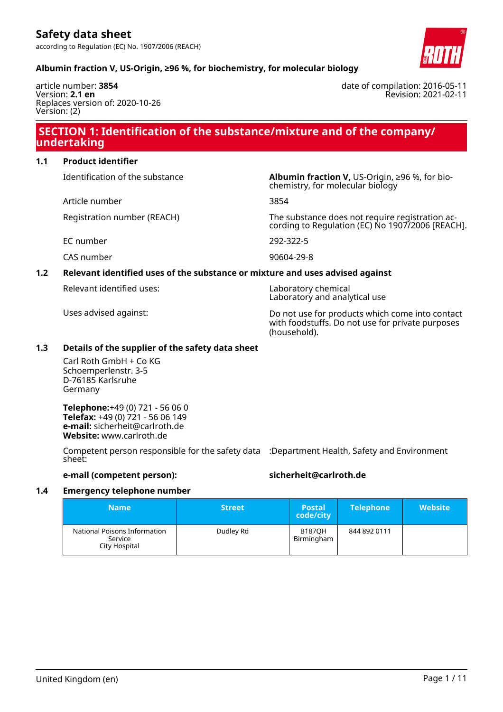

date of compilation: 2016-05-11

Revision: 2021-02-11

### **Albumin fraction V, US-Origin, ≥96 %, for biochemistry, for molecular biology**

article number: **3854** Version: **2.1 en** Replaces version of: 2020-10-26 Version: (2)

### **SECTION 1: Identification of the substance/mixture and of the company/ undertaking**

#### **1.1 Product identifier**

Identification of the substance **Albumin fraction V,** US-Origin, ≥96 %, for bio-

Article number 3854

EC number 292-322-5

CAS number 90604-29-8

#### **1.2 Relevant identified uses of the substance or mixture and uses advised against**

Relevant identified uses: Laboratory chemical

chemistry, for molecular biology

Registration number (REACH) The substance does not require registration according to Regulation (EC) No 1907/2006 [REACH].

Laboratory and analytical use

Uses advised against: Do not use for products which come into contact with foodstuffs. Do not use for private purposes (household).

#### **1.3 Details of the supplier of the safety data sheet**

Carl Roth GmbH + Co KG Schoemperlenstr. 3-5 D-76185 Karlsruhe Germany

**Telephone:**+49 (0) 721 - 56 06 0 **Telefax:** +49 (0) 721 - 56 06 149 **e-mail:** sicherheit@carlroth.de **Website:** www.carlroth.de

Competent person responsible for the safety data :Department Health, Safety and Environment sheet:

#### **e-mail (competent person): sicherheit@carlroth.de**

#### **1.4 Emergency telephone number**

| <b>Name</b>                                              | <b>Street</b> | <b>Postal</b><br>code/city  | <b>Telephone</b> | <b>Website</b> |
|----------------------------------------------------------|---------------|-----------------------------|------------------|----------------|
| National Poisons Information<br>Service<br>City Hospital | Dudley Rd     | <b>B187OH</b><br>Birmingham | 844 892 0111     |                |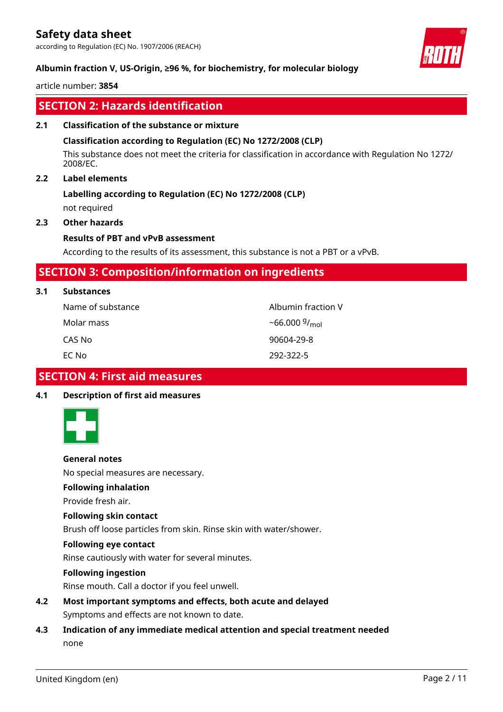according to Regulation (EC) No. 1907/2006 (REACH)

#### **Albumin fraction V, US-Origin, ≥96 %, for biochemistry, for molecular biology**

article number: **3854**

### **SECTION 2: Hazards identification**

#### **2.1 Classification of the substance or mixture**

#### **Classification according to Regulation (EC) No 1272/2008 (CLP)**

This substance does not meet the criteria for classification in accordance with Regulation No 1272/ 2008/EC.

#### **2.2 Label elements**

### **Labelling according to Regulation (EC) No 1272/2008 (CLP)**

not required

#### **2.3 Other hazards**

#### **Results of PBT and vPvB assessment**

According to the results of its assessment, this substance is not a PBT or a vPvB.

### **SECTION 3: Composition/information on ingredients**

#### **3.1 Substances**

| Name of substance | Albumin fraction V        |
|-------------------|---------------------------|
| Molar mass        | ~66.000 $9/_{\text{mol}}$ |
| CAS No            | 90604-29-8                |
| EC No             | 292-322-5                 |

### **SECTION 4: First aid measures**

#### **4.1 Description of first aid measures**



**General notes**

No special measures are necessary.

**Following inhalation**

Provide fresh air.

#### **Following skin contact**

Brush off loose particles from skin. Rinse skin with water/shower.

#### **Following eye contact**

Rinse cautiously with water for several minutes.

#### **Following ingestion**

Rinse mouth. Call a doctor if you feel unwell.

- **4.2 Most important symptoms and effects, both acute and delayed** Symptoms and effects are not known to date.
- **4.3 Indication of any immediate medical attention and special treatment needed** none

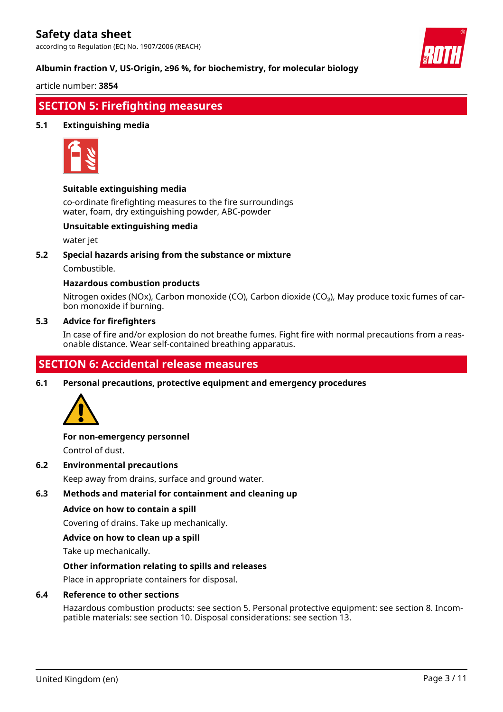according to Regulation (EC) No. 1907/2006 (REACH)

#### **Albumin fraction V, US-Origin, ≥96 %, for biochemistry, for molecular biology**

article number: **3854**

### **SECTION 5: Firefighting measures**

#### **5.1 Extinguishing media**



#### **Suitable extinguishing media**

co-ordinate firefighting measures to the fire surroundings water, foam, dry extinguishing powder, ABC-powder

#### **Unsuitable extinguishing media**

water jet

#### **5.2 Special hazards arising from the substance or mixture**

Combustible.

#### **Hazardous combustion products**

Nitrogen oxides (NOx), Carbon monoxide (CO), Carbon dioxide (CO₂), May produce toxic fumes of carbon monoxide if burning.

#### **5.3 Advice for firefighters**

In case of fire and/or explosion do not breathe fumes. Fight fire with normal precautions from a reasonable distance. Wear self-contained breathing apparatus.

### **SECTION 6: Accidental release measures**

**6.1 Personal precautions, protective equipment and emergency procedures**



# **For non-emergency personnel**

Control of dust.

**6.2 Environmental precautions**

Keep away from drains, surface and ground water.

#### **6.3 Methods and material for containment and cleaning up**

#### **Advice on how to contain a spill**

Covering of drains. Take up mechanically.

#### **Advice on how to clean up a spill**

Take up mechanically.

#### **Other information relating to spills and releases**

Place in appropriate containers for disposal.

#### **6.4 Reference to other sections**

Hazardous combustion products: see section 5. Personal protective equipment: see section 8. Incompatible materials: see section 10. Disposal considerations: see section 13.

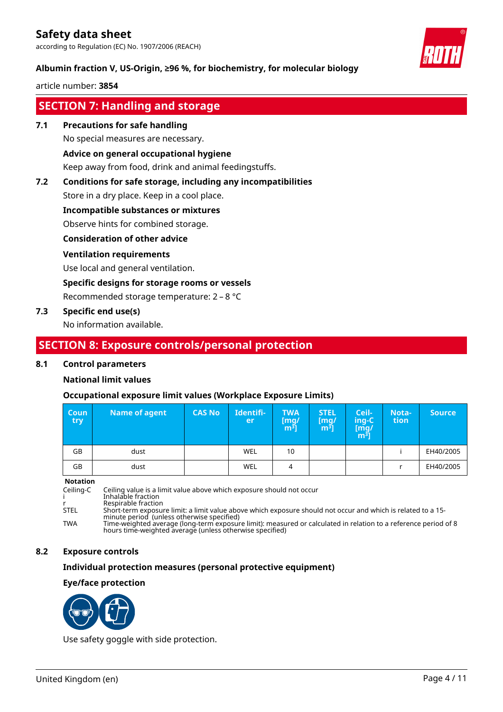according to Regulation (EC) No. 1907/2006 (REACH)

#### **Albumin fraction V, US-Origin, ≥96 %, for biochemistry, for molecular biology**

article number: **3854**

### **SECTION 7: Handling and storage**

#### **7.1 Precautions for safe handling**

No special measures are necessary.

#### **Advice on general occupational hygiene**

Keep away from food, drink and animal feedingstuffs.

#### **7.2 Conditions for safe storage, including any incompatibilities**

Store in a dry place. Keep in a cool place.

#### **Incompatible substances or mixtures**

Observe hints for combined storage.

#### **Consideration of other advice**

#### **Ventilation requirements**

Use local and general ventilation.

#### **Specific designs for storage rooms or vessels**

Recommended storage temperature: 2 – 8 °C

#### **7.3 Specific end use(s)**

No information available.

### **SECTION 8: Exposure controls/personal protection**

#### **8.1 Control parameters**

#### **National limit values**

#### **Occupational exposure limit values (Workplace Exposure Limits)**

| <b>Coun</b><br>try – | Name of agent | <b>CAS No</b> | Identifi-<br>er | <b>TWA</b><br>[mg/<br>[m <sup>3</sup> ] | <b>STEL</b><br>[mg]<br>$\mathsf{m}^3$ | Ceil-<br>ing-C<br>[mg/<br>$\mathsf{m}^{\mathsf{3}}$ | Nota-<br>tion | <b>Source</b> |
|----------------------|---------------|---------------|-----------------|-----------------------------------------|---------------------------------------|-----------------------------------------------------|---------------|---------------|
| GB                   | dust          |               | WEL             | 10                                      |                                       |                                                     |               | EH40/2005     |
| GB                   | dust          |               | WEL             | 4                                       |                                       |                                                     |               | EH40/2005     |

#### **Notation**

Ceiling-C Ceiling value is a limit value above which exposure should not occur i Inhalable fraction r Respirable fraction STEL Short-term exposure limit: a limit value above which exposure should not occur and which is related to a 15 minute period (unless otherwise specified) TWA Time-weighted average (long-term exposure limit): measured or calculated in relation to a reference period of 8 hours time-weighted average (unless otherwise specified)

#### **8.2 Exposure controls**

#### **Individual protection measures (personal protective equipment)**

#### **Eye/face protection**



Use safety goggle with side protection.

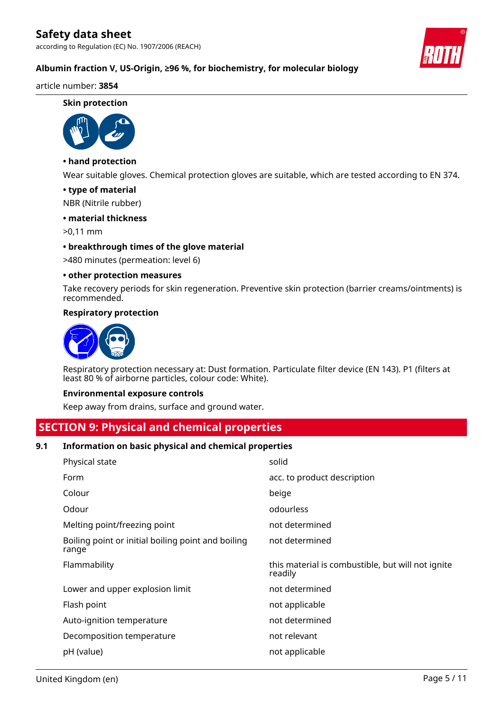according to Regulation (EC) No. 1907/2006 (REACH)



### **Albumin fraction V, US-Origin, ≥96 %, for biochemistry, for molecular biology**

#### article number: **3854**

#### **Skin protection**



### **• hand protection**

Wear suitable gloves. Chemical protection gloves are suitable, which are tested according to EN 374.

#### **• type of material**

NBR (Nitrile rubber)

#### **• material thickness**

>0,11 mm

#### **• breakthrough times of the glove material**

>480 minutes (permeation: level 6)

#### **• other protection measures**

Take recovery periods for skin regeneration. Preventive skin protection (barrier creams/ointments) is recommended.

#### **Respiratory protection**



Respiratory protection necessary at: Dust formation. Particulate filter device (EN 143). P1 (filters at least 80 % of airborne particles, colour code: White).

#### **Environmental exposure controls**

Keep away from drains, surface and ground water.

### **SECTION 9: Physical and chemical properties**

#### **9.1 Information on basic physical and chemical properties**

| Physical state                                              | solid                                                        |
|-------------------------------------------------------------|--------------------------------------------------------------|
| Form                                                        | acc. to product description                                  |
| Colour                                                      | beige                                                        |
| Odour                                                       | odourless                                                    |
| Melting point/freezing point                                | not determined                                               |
| Boiling point or initial boiling point and boiling<br>range | not determined                                               |
| Flammability                                                | this material is combustible, but will not ignite<br>readily |
| Lower and upper explosion limit                             | not determined                                               |
| Flash point                                                 | not applicable                                               |
| Auto-ignition temperature                                   | not determined                                               |
|                                                             |                                                              |
| Decomposition temperature                                   | not relevant                                                 |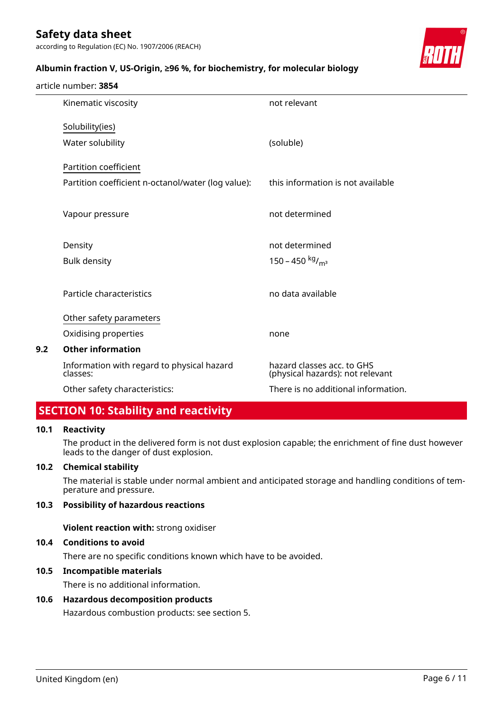article number: **3854**

according to Regulation (EC) No. 1907/2006 (REACH)

#### **Albumin fraction V, US-Origin, ≥96 %, for biochemistry, for molecular biology**



|     | Kinematic viscosity                                    | not relevant                                                   |
|-----|--------------------------------------------------------|----------------------------------------------------------------|
|     | Solubility(ies)                                        |                                                                |
|     | Water solubility                                       | (soluble)                                                      |
|     | Partition coefficient                                  |                                                                |
|     | Partition coefficient n-octanol/water (log value):     | this information is not available                              |
|     | Vapour pressure                                        | not determined                                                 |
|     | Density                                                | not determined                                                 |
|     | <b>Bulk density</b>                                    | 150 – 450 kg/m <sup>3</sup>                                    |
|     | Particle characteristics                               | no data available                                              |
|     | Other safety parameters                                |                                                                |
|     | Oxidising properties                                   | none                                                           |
| 9.2 | <b>Other information</b>                               |                                                                |
|     | Information with regard to physical hazard<br>classes: | hazard classes acc. to GHS<br>(physical hazards): not relevant |
|     | Other safety characteristics:                          | There is no additional information.                            |
|     |                                                        |                                                                |

### **SECTION 10: Stability and reactivity**

#### **10.1 Reactivity**

The product in the delivered form is not dust explosion capable; the enrichment of fine dust however leads to the danger of dust explosion.

#### **10.2 Chemical stability**

The material is stable under normal ambient and anticipated storage and handling conditions of temperature and pressure.

#### **10.3 Possibility of hazardous reactions**

**Violent reaction with:** strong oxidiser

#### **10.4 Conditions to avoid**

There are no specific conditions known which have to be avoided.

#### **10.5 Incompatible materials**

There is no additional information.

#### **10.6 Hazardous decomposition products**

Hazardous combustion products: see section 5.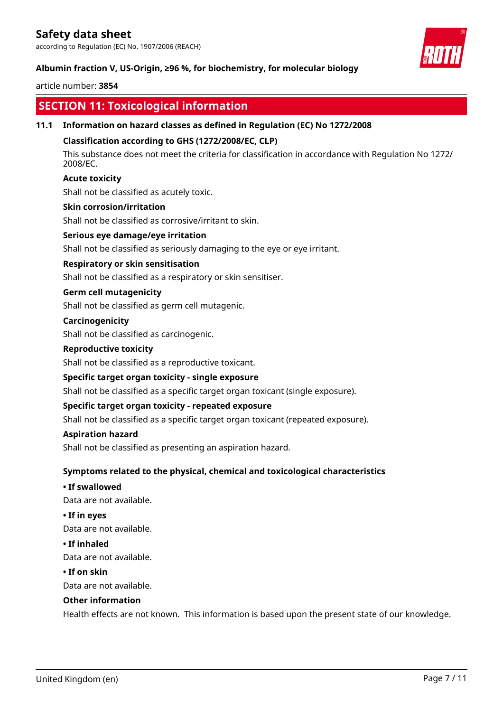according to Regulation (EC) No. 1907/2006 (REACH)

#### **Albumin fraction V, US-Origin, ≥96 %, for biochemistry, for molecular biology**

#### article number: **3854**

### **SECTION 11: Toxicological information**

#### **11.1 Information on hazard classes as defined in Regulation (EC) No 1272/2008**

#### **Classification according to GHS (1272/2008/EC, CLP)**

This substance does not meet the criteria for classification in accordance with Regulation No 1272/ 2008/EC.

#### **Acute toxicity**

Shall not be classified as acutely toxic.

#### **Skin corrosion/irritation**

Shall not be classified as corrosive/irritant to skin.

#### **Serious eye damage/eye irritation**

Shall not be classified as seriously damaging to the eye or eye irritant.

#### **Respiratory or skin sensitisation**

Shall not be classified as a respiratory or skin sensitiser.

#### **Germ cell mutagenicity**

Shall not be classified as germ cell mutagenic.

#### **Carcinogenicity**

Shall not be classified as carcinogenic.

#### **Reproductive toxicity**

Shall not be classified as a reproductive toxicant.

#### **Specific target organ toxicity - single exposure**

Shall not be classified as a specific target organ toxicant (single exposure).

#### **Specific target organ toxicity - repeated exposure**

Shall not be classified as a specific target organ toxicant (repeated exposure).

#### **Aspiration hazard**

Shall not be classified as presenting an aspiration hazard.

#### **Symptoms related to the physical, chemical and toxicological characteristics**

#### **• If swallowed**

Data are not available.

#### **• If in eyes**

Data are not available.

#### **• If inhaled**

Data are not available.

#### **• If on skin**

Data are not available.

#### **Other information**

Health effects are not known. This information is based upon the present state of our knowledge.

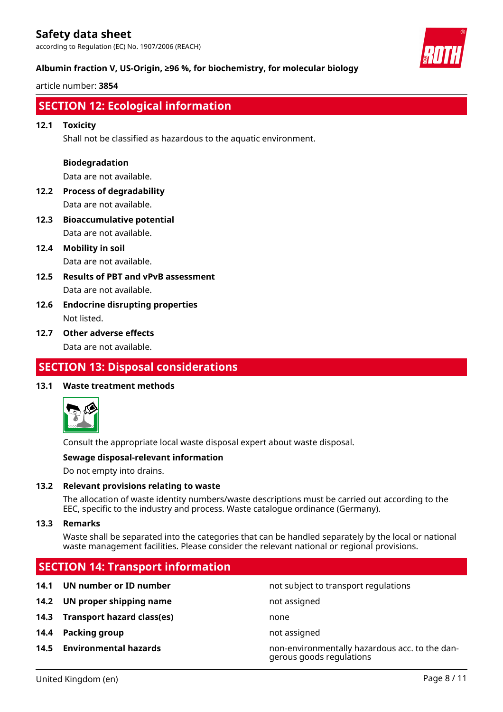according to Regulation (EC) No. 1907/2006 (REACH)

#### **Albumin fraction V, US-Origin, ≥96 %, for biochemistry, for molecular biology**

article number: **3854**



### **SECTION 12: Ecological information**

#### **12.1 Toxicity**

Shall not be classified as hazardous to the aquatic environment.

#### **Biodegradation**

Data are not available.

- **12.2 Process of degradability** Data are not available.
- **12.3 Bioaccumulative potential** Data are not available.
- **12.4 Mobility in soil** Data are not available.
- **12.5 Results of PBT and vPvB assessment** Data are not available.
- **12.6 Endocrine disrupting properties** Not listed.

#### **12.7 Other adverse effects**

Data are not available.

### **SECTION 13: Disposal considerations**

#### **13.1 Waste treatment methods**



Consult the appropriate local waste disposal expert about waste disposal.

#### **Sewage disposal-relevant information**

Do not empty into drains.

#### **13.2 Relevant provisions relating to waste**

The allocation of waste identity numbers/waste descriptions must be carried out according to the EEC, specific to the industry and process. Waste catalogue ordinance (Germany).

#### **13.3 Remarks**

Waste shall be separated into the categories that can be handled separately by the local or national waste management facilities. Please consider the relevant national or regional provisions.

# **SECTION 14: Transport information 14.1 UN number or ID number not subject to transport regulations 14.2 UN proper shipping name** not assigned **14.3 Transport hazard class(es)** none **14.4 Packing group not assigned 14.5 Environmental hazards** non-environmentally hazardous acc. to the dangerous goods regulations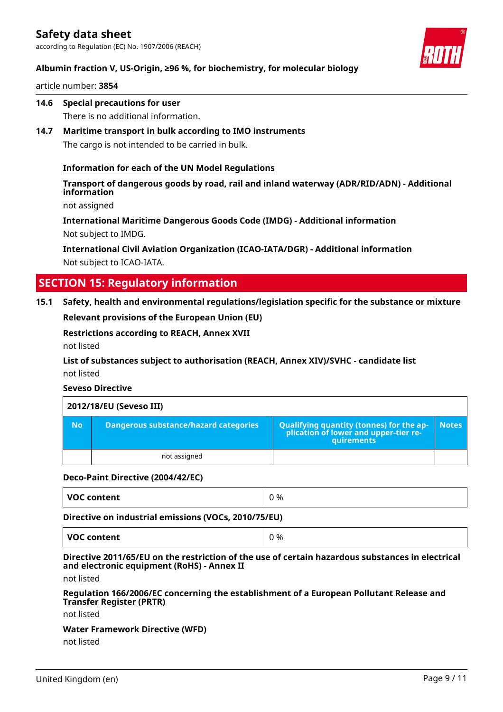according to Regulation (EC) No. 1907/2006 (REACH)



### **Albumin fraction V, US-Origin, ≥96 %, for biochemistry, for molecular biology**

article number: **3854**

- **14.6 Special precautions for user** There is no additional information.
- **14.7 Maritime transport in bulk according to IMO instruments** The cargo is not intended to be carried in bulk.

#### **Information for each of the UN Model Regulations**

**Transport of dangerous goods by road, rail and inland waterway (ADR/RID/ADN) - Additional information**

not assigned

**International Maritime Dangerous Goods Code (IMDG) - Additional information** Not subject to IMDG.

**International Civil Aviation Organization (ICAO-IATA/DGR) - Additional information** Not subject to ICAO-IATA.

### **SECTION 15: Regulatory information**

#### **15.1 Safety, health and environmental regulations/legislation specific for the substance or mixture**

**Relevant provisions of the European Union (EU)**

**Restrictions according to REACH, Annex XVII**

not listed

**List of substances subject to authorisation (REACH, Annex XIV)/SVHC - candidate list** not listed

#### **Seveso Directive**

|           | 2012/18/EU (Seveso III)               |                                                                                            |              |  |  |
|-----------|---------------------------------------|--------------------------------------------------------------------------------------------|--------------|--|--|
| <b>No</b> | Dangerous substance/hazard categories | Qualifying quantity (tonnes) for the application of lower and upper-tier re-<br>quirements | <b>Notes</b> |  |  |
|           | not assigned                          |                                                                                            |              |  |  |

#### **Deco-Paint Directive (2004/42/EC)**

| VOC content<br>%<br>c |
|-----------------------|
|-----------------------|

**Directive on industrial emissions (VOCs, 2010/75/EU)**

**VOC content**  $\begin{array}{ccc} \mid & 0 \leq 0 \end{array}$ 

#### **Directive 2011/65/EU on the restriction of the use of certain hazardous substances in electrical and electronic equipment (RoHS) - Annex II**

not listed

#### **Regulation 166/2006/EC concerning the establishment of a European Pollutant Release and Transfer Register (PRTR)**

not listed

# **Water Framework Directive (WFD)**

not listed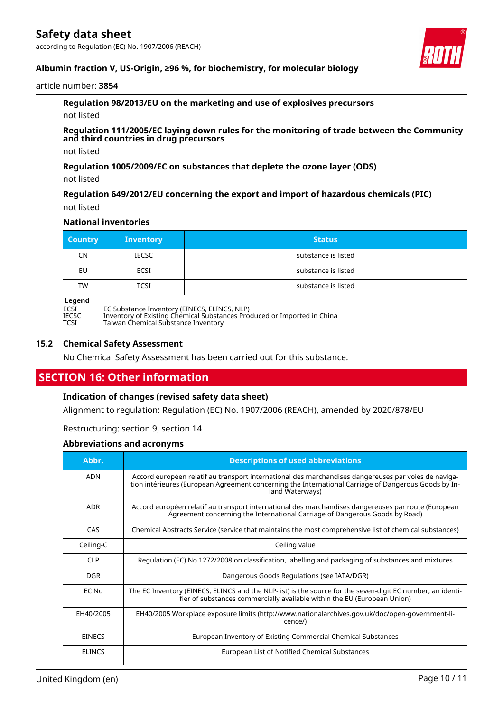

### **Albumin fraction V, US-Origin, ≥96 %, for biochemistry, for molecular biology**

#### article number: **3854**

**Regulation 98/2013/EU on the marketing and use of explosives precursors** not listed

**Regulation 111/2005/EC laying down rules for the monitoring of trade between the Community and third countries in drug precursors**

not listed

**Regulation 1005/2009/EC on substances that deplete the ozone layer (ODS)**

not listed

**Regulation 649/2012/EU concerning the export and import of hazardous chemicals (PIC)** not listed

#### **National inventories**

| <b>Country</b>   | <b>Inventory</b> | <b>Status</b>       |
|------------------|------------------|---------------------|
| <b>CN</b>        | <b>IECSC</b>     | substance is listed |
| EU               | ECSI             | substance is listed |
| <b>TW</b>        | <b>TCSI</b>      | substance is listed |
| المحرجين والرابع |                  |                     |

# **Legend**

ECSI EC Substance Inventory (EINECS, ELINCS, NLP) IECSC Inventory of Existing Chemical Substances Produced or Imported in China

TCSI Taiwan Chemical Substance Inventory

#### **15.2 Chemical Safety Assessment**

No Chemical Safety Assessment has been carried out for this substance.

## **SECTION 16: Other information**

#### **Indication of changes (revised safety data sheet)**

Alignment to regulation: Regulation (EC) No. 1907/2006 (REACH), amended by 2020/878/EU

Restructuring: section 9, section 14

#### **Abbreviations and acronyms**

| Abbr.         | <b>Descriptions of used abbreviations</b>                                                                                                                                                                                       |
|---------------|---------------------------------------------------------------------------------------------------------------------------------------------------------------------------------------------------------------------------------|
| <b>ADN</b>    | Accord européen relatif au transport international des marchandises dangereuses par voies de naviga-<br>tion intérieures (European Agreement concerning the International Carriage of Dangerous Goods by In-<br>land Waterways) |
| <b>ADR</b>    | Accord européen relatif au transport international des marchandises dangereuses par route (European<br>Agreement concerning the International Carriage of Dangerous Goods by Road)                                              |
| CAS           | Chemical Abstracts Service (service that maintains the most comprehensive list of chemical substances)                                                                                                                          |
| Ceiling-C     | Ceiling value                                                                                                                                                                                                                   |
| <b>CLP</b>    | Regulation (EC) No 1272/2008 on classification, labelling and packaging of substances and mixtures                                                                                                                              |
| <b>DGR</b>    | Dangerous Goods Regulations (see IATA/DGR)                                                                                                                                                                                      |
| EC No         | The EC Inventory (EINECS, ELINCS and the NLP-list) is the source for the seven-digit EC number, an identi-<br>fier of substances commercially available within the EU (European Union)                                          |
| EH40/2005     | EH40/2005 Workplace exposure limits (http://www.nationalarchives.gov.uk/doc/open-government-li-<br>cence/)                                                                                                                      |
| <b>EINECS</b> | European Inventory of Existing Commercial Chemical Substances                                                                                                                                                                   |
| <b>ELINCS</b> | European List of Notified Chemical Substances                                                                                                                                                                                   |